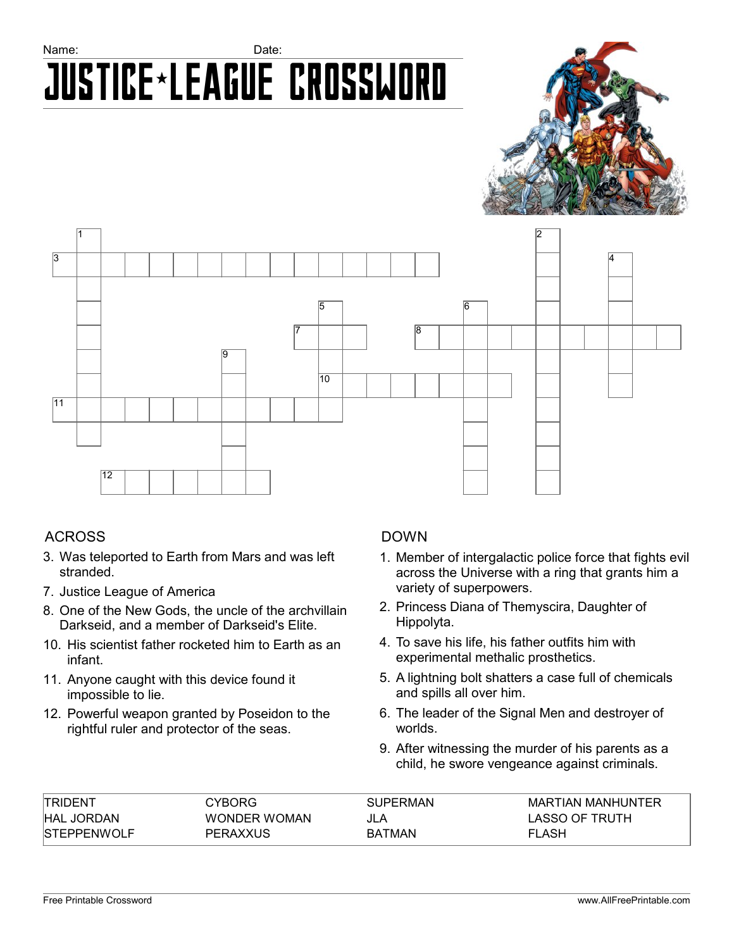# Name: **Name:** Date: Justice\*League Crossword





## ACROSS

- 3. Was teleported to Earth from Mars and was left stranded.
- 7. Justice League of America
- 8. One of the New Gods, the uncle of the archvillain Darkseid, and a member of Darkseid's Elite.
- 10. His scientist father rocketed him to Earth as an infant.
- 11. Anyone caught with this device found it impossible to lie.
- 12. Powerful weapon granted by Poseidon to the rightful ruler and protector of the seas.

## DOWN

- 1. Member of intergalactic police force that fights evil across the Universe with a ring that grants him a variety of superpowers.
- 2. Princess Diana of Themyscira, Daughter of Hippolyta.
- 4. To save his life, his father outfits him with experimental methalic prosthetics.
- 5. A lightning bolt shatters a case full of chemicals and spills all over him.
- 6. The leader of the Signal Men and destroyer of worlds.
- 9. After witnessing the murder of his parents as a child, he swore vengeance against criminals.

| <b>TRIDENT</b>      | CYBORG              | <b>SUPERMAN</b> | MARTIAN MANHUNTER |
|---------------------|---------------------|-----------------|-------------------|
| <b>HAL JORDAN</b>   | <b>WONDER WOMAN</b> | JLA             | LASSO OF TRUTH    |
| <b>ISTEPPENWOLF</b> | <b>PERAXXUS</b>     | <b>BATMAN</b>   | <b>FLASH</b>      |